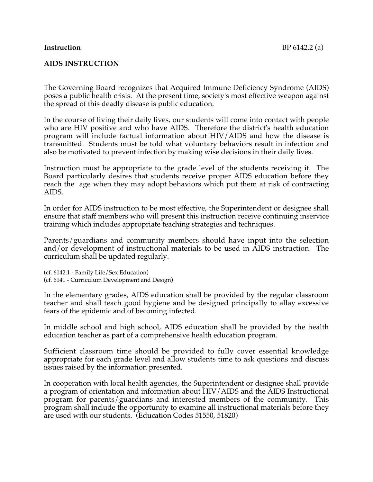## **Instruction** BP 6142.2 (a)

## **AIDS INSTRUCTION**

The Governing Board recognizes that Acquired Immune Deficiency Syndrome (AIDS) poses a public health crisis. At the present time, society's most effective weapon against the spread of this deadly disease is public education.

In the course of living their daily lives, our students will come into contact with people who are HIV positive and who have AIDS. Therefore the district's health education program will include factual information about HIV/AIDS and how the disease is transmitted. Students must be told what voluntary behaviors result in infection and also be motivated to prevent infection by making wise decisions in their daily lives.

Instruction must be appropriate to the grade level of the students receiving it. The Board particularly desires that students receive proper AIDS education before they reach the age when they may adopt behaviors which put them at risk of contracting AIDS.

In order for AIDS instruction to be most effective, the Superintendent or designee shall ensure that staff members who will present this instruction receive continuing inservice training which includes appropriate teaching strategies and techniques.

Parents/guardians and community members should have input into the selection and/or development of instructional materials to be used in AIDS instruction. The curriculum shall be updated regularly.

(cf. 6142.1 - Family Life/Sex Education) (cf. 6141 - Curriculum Development and Design)

In the elementary grades, AIDS education shall be provided by the regular classroom teacher and shall teach good hygiene and be designed principally to allay excessive fears of the epidemic and of becoming infected.

In middle school and high school, AIDS education shall be provided by the health education teacher as part of a comprehensive health education program.

Sufficient classroom time should be provided to fully cover essential knowledge appropriate for each grade level and allow students time to ask questions and discuss issues raised by the information presented.

In cooperation with local health agencies, the Superintendent or designee shall provide a program of orientation and information about HIV/AIDS and the AIDS Instructional program for parents/guardians and interested members of the community. This program shall include the opportunity to examine all instructional materials before they are used with our students. (Education Codes 51550, 51820)